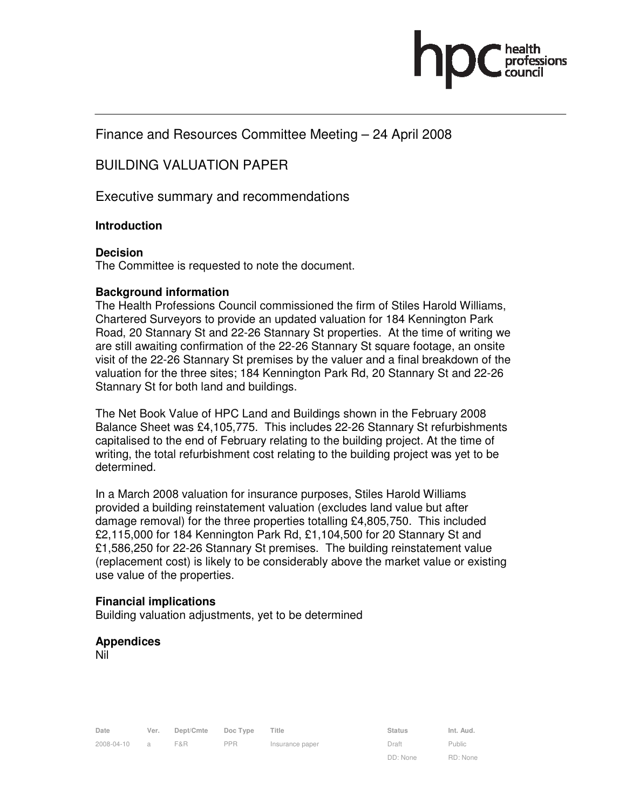# Finance and Resources Committee Meeting – 24 April 2008

# BUILDING VALUATION PAPER

Executive summary and recommendations

# **Introduction**

# **Decision**

The Committee is requested to note the document.

# **Background information**

The Health Professions Council commissioned the firm of Stiles Harold Williams, Chartered Surveyors to provide an updated valuation for 184 Kennington Park Road, 20 Stannary St and 22-26 Stannary St properties. At the time of writing we are still awaiting confirmation of the 22-26 Stannary St square footage, an onsite visit of the 22-26 Stannary St premises by the valuer and a final breakdown of the valuation for the three sites; 184 Kennington Park Rd, 20 Stannary St and 22-26 Stannary St for both land and buildings.

The Net Book Value of HPC Land and Buildings shown in the February 2008 Balance Sheet was £4,105,775. This includes 22-26 Stannary St refurbishments capitalised to the end of February relating to the building project. At the time of writing, the total refurbishment cost relating to the building project was yet to be determined.

In a March 2008 valuation for insurance purposes, Stiles Harold Williams provided a building reinstatement valuation (excludes land value but after damage removal) for the three properties totalling £4,805,750. This included £2,115,000 for 184 Kennington Park Rd, £1,104,500 for 20 Stannary St and £1,586,250 for 22-26 Stannary St premises. The building reinstatement value (replacement cost) is likely to be considerably above the market value or existing use value of the properties.

# **Financial implications**

Building valuation adjustments, yet to be determined

# **Appendices**

Nil

DD: None

Public RD: None